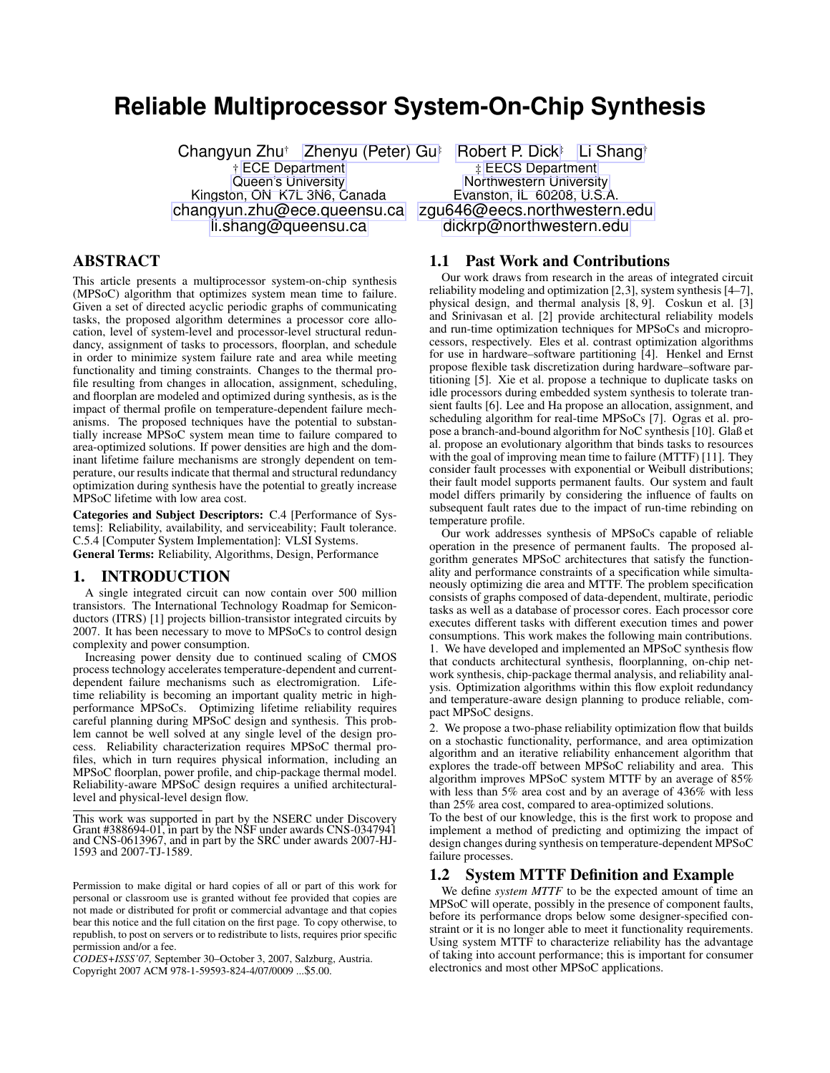# **Reliable Multiprocessor System-On-Chip Synthesis**

Kingston, ON K7L 3N6, Canada Evanston, IL 60208, U.S.A. [changyun.zhu@ece.queensu.ca](mailto:changyun.zhu@ece.queensu.ca) [zgu646@eecs.northwestern.edu](mailto:zgu646@eecs.northwestern.edu)

# ABSTRACT

This article presents a multiprocessor system-on-chip synthesis (MPSoC) algorithm that optimizes system mean time to failure. Given a set of directed acyclic periodic graphs of communicating tasks, the proposed algorithm determines a processor core allocation, level of system-level and processor-level structural redundancy, assignment of tasks to processors, floorplan, and schedule in order to minimize system failure rate and area while meeting functionality and timing constraints. Changes to the thermal profile resulting from changes in allocation, assignment, scheduling, and floorplan are modeled and optimized during synthesis, as is the impact of thermal profile on temperature-dependent failure mechanisms. The proposed techniques have the potential to substantially increase MPSoC system mean time to failure compared to area-optimized solutions. If power densities are high and the dominant lifetime failure mechanisms are strongly dependent on temperature, our results indicate that thermal and structural redundancy optimization during synthesis have the potential to greatly increase MPSoC lifetime with low area cost.

Categories and Subject Descriptors: C.4 [Performance of Systems]: Reliability, availability, and serviceability; Fault tolerance. C.5.4 [Computer System Implementation]: VLSI Systems. General Terms: Reliability, Algorithms, Design, Performance

# 1. INTRODUCTION

A single integrated circuit can now contain over 500 million transistors. The International Technology Roadmap for Semiconductors (ITRS) [1] projects billion-transistor integrated circuits by 2007. It has been necessary to move to MPSoCs to control design complexity and power consumption.

Increasing power density due to continued scaling of CMOS process technology accelerates temperature-dependent and currentdependent failure mechanisms such as electromigration. Lifetime reliability is becoming an important quality metric in highperformance MPSoCs. Optimizing lifetime reliability requires careful planning during MPSoC design and synthesis. This problem cannot be well solved at any single level of the design process. Reliability characterization requires MPSoC thermal profiles, which in turn requires physical information, including an MPSoC floorplan, power profile, and chip-package thermal model. Reliability-aware MPSoC design requires a unified architecturallevel and physical-level design flow.

Changyun Zhu<sup>†</sup> [Zhenyu \(Peter\) Gu](http://ziyang.eecs.northwestern.edu/~zgu646/)<sup>‡</sup> [Robert P. Dick](http://robertdick.org/)<sup>‡</sup> [Li Shang](http://post.queensu.ca/~shangl/)<sup>†</sup><br>‡ECS Department the the ECS Department † [ECE Department](http://www.ece.queensu.ca/) ‡ [EECS Department](http://www.eecs.northwestern.edu/) [Queen's University](http://www.queensu.ca/) **Northwestern University** [li.shang@queensu.ca](mailto:li.shang@queensu.ca) [dickrp@northwestern.edu](mailto:dickrp@northwestern.edu)

# 1.1 Past Work and Contributions

Our work draws from research in the areas of integrated circuit reliability modeling and optimization [2,3], system synthesis [4–7], physical design, and thermal analysis [8, 9]. Coskun et al. [3] and Srinivasan et al. [2] provide architectural reliability models and run-time optimization techniques for MPSoCs and microprocessors, respectively. Eles et al. contrast optimization algorithms for use in hardware–software partitioning [4]. Henkel and Ernst propose flexible task discretization during hardware–software partitioning [5]. Xie et al. propose a technique to duplicate tasks on idle processors during embedded system synthesis to tolerate transient faults [6]. Lee and Ha propose an allocation, assignment, and scheduling algorithm for real-time MPSoCs [7]. Ogras et al. propose a branch-and-bound algorithm for NoC synthesis [10]. Glaß et al. propose an evolutionary algorithm that binds tasks to resources with the goal of improving mean time to failure (MTTF) [11]. They consider fault processes with exponential or Weibull distributions; their fault model supports permanent faults. Our system and fault model differs primarily by considering the influence of faults on subsequent fault rates due to the impact of run-time rebinding on temperature profile.

Our work addresses synthesis of MPSoCs capable of reliable operation in the presence of permanent faults. The proposed algorithm generates MPSoC architectures that satisfy the functionality and performance constraints of a specification while simultaneously optimizing die area and MTTF. The problem specification consists of graphs composed of data-dependent, multirate, periodic tasks as well as a database of processor cores. Each processor core executes different tasks with different execution times and power consumptions. This work makes the following main contributions. 1. We have developed and implemented an MPSoC synthesis flow that conducts architectural synthesis, floorplanning, on-chip network synthesis, chip-package thermal analysis, and reliability analysis. Optimization algorithms within this flow exploit redundancy and temperature-aware design planning to produce reliable, compact MPSoC designs.

2. We propose a two-phase reliability optimization flow that builds on a stochastic functionality, performance, and area optimization algorithm and an iterative reliability enhancement algorithm that explores the trade-off between MPSoC reliability and area. This algorithm improves MPSoC system MTTF by an average of 85% with less than 5% area cost and by an average of 436% with less than 25% area cost, compared to area-optimized solutions.

To the best of our knowledge, this is the first work to propose and implement a method of predicting and optimizing the impact of design changes during synthesis on temperature-dependent MPSoC failure processes.

# <span id="page-0-0"></span>1.2 System MTTF Definition and Example

We define *system MTTF* to be the expected amount of time an MPSoC will operate, possibly in the presence of component faults, before its performance drops below some designer-specified constraint or it is no longer able to meet it functionality requirements. Using system MTTF to characterize reliability has the advantage of taking into account performance; this is important for consumer electronics and most other MPSoC applications.

This work was supported in part by the NSERC under Discovery Grant #388694-01, in part by the NSF under awards CNS-0347941 and CNS-0613967, and in part by the SRC under awards 2007-HJ-1593 and 2007-TJ-1589.

Permission to make digital or hard copies of all or part of this work for personal or classroom use is granted without fee provided that copies are not made or distributed for profit or commercial advantage and that copies bear this notice and the full citation on the first page. To copy otherwise, to republish, to post on servers or to redistribute to lists, requires prior specific permission and/or a fee.

*CODES+ISSS'07,* September 30–October 3, 2007, Salzburg, Austria. Copyright 2007 ACM 978-1-59593-824-4/07/0009 ...\$5.00.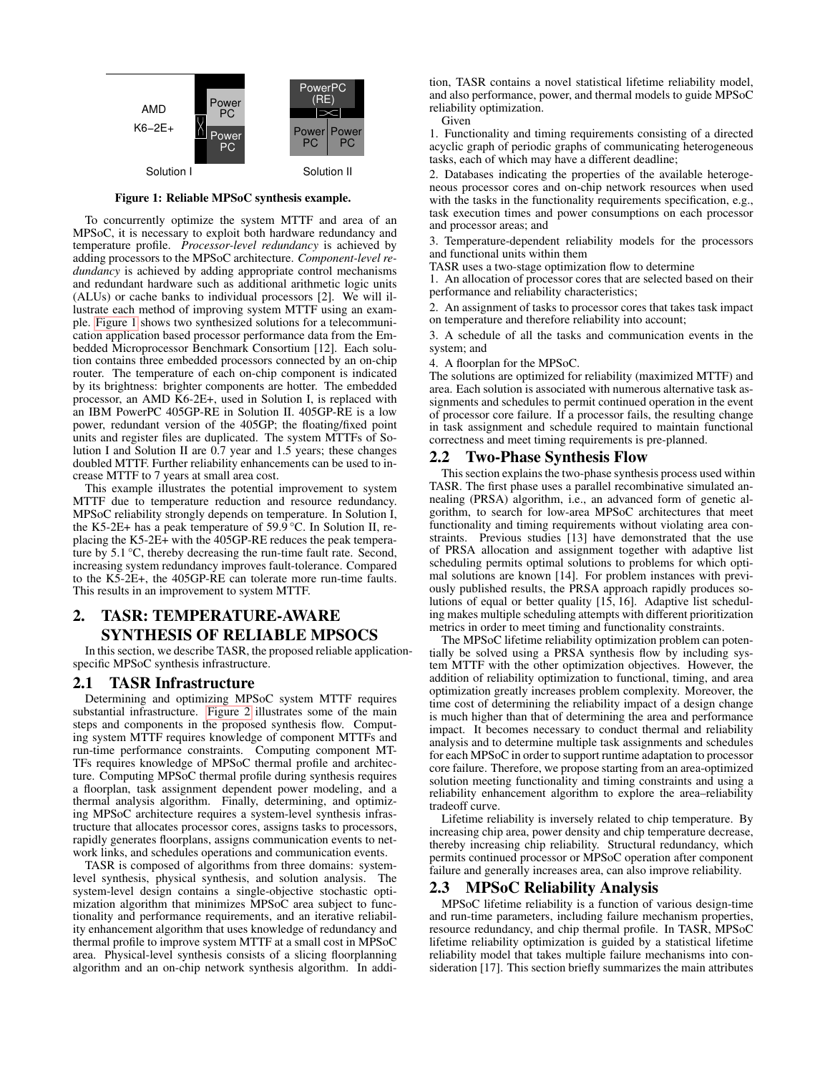

<span id="page-1-0"></span>Figure 1: Reliable MPSoC synthesis example.

To concurrently optimize the system MTTF and area of an MPSoC, it is necessary to exploit both hardware redundancy and temperature profile. *Processor-level redundancy* is achieved by adding processors to the MPSoC architecture. *Component-level redundancy* is achieved by adding appropriate control mechanisms and redundant hardware such as additional arithmetic logic units (ALUs) or cache banks to individual processors [2]. We will illustrate each method of improving system MTTF using an example. [Figure 1](#page-1-0) shows two synthesized solutions for a telecommunication application based processor performance data from the Embedded Microprocessor Benchmark Consortium [12]. Each solution contains three embedded processors connected by an on-chip router. The temperature of each on-chip component is indicated by its brightness: brighter components are hotter. The embedded processor, an AMD K6-2E+, used in Solution I, is replaced with an IBM PowerPC 405GP-RE in Solution II. 405GP-RE is a low power, redundant version of the 405GP; the floating/fixed point units and register files are duplicated. The system MTTFs of Solution I and Solution II are 0.7 year and 1.5 years; these changes doubled MTTF. Further reliability enhancements can be used to increase MTTF to 7 years at small area cost.

This example illustrates the potential improvement to system MTTF due to temperature reduction and resource redundancy. MPSoC reliability strongly depends on temperature. In Solution I, the K5-2E+ has a peak temperature of 59.9 °C. In Solution II, replacing the K5-2E+ with the 405GP-RE reduces the peak temperature by 5.1 °C, thereby decreasing the run-time fault rate. Second, increasing system redundancy improves fault-tolerance. Compared to the K5-2E+, the 405GP-RE can tolerate more run-time faults. This results in an improvement to system MTTF.

# 2. TASR: TEMPERATURE-AWARE SYNTHESIS OF RELIABLE MPSOCS

In this section, we describe TASR, the proposed reliable applicationspecific MPSoC synthesis infrastructure.

# <span id="page-1-1"></span>2.1 TASR Infrastructure

Determining and optimizing MPSoC system MTTF requires substantial infrastructure. [Figure 2](#page-2-0) illustrates some of the main steps and components in the proposed synthesis flow. Computing system MTTF requires knowledge of component MTTFs and run-time performance constraints. Computing component MT-TFs requires knowledge of MPSoC thermal profile and architecture. Computing MPSoC thermal profile during synthesis requires a floorplan, task assignment dependent power modeling, and a thermal analysis algorithm. Finally, determining, and optimizing MPSoC architecture requires a system-level synthesis infrastructure that allocates processor cores, assigns tasks to processors, rapidly generates floorplans, assigns communication events to network links, and schedules operations and communication events.

TASR is composed of algorithms from three domains: systemlevel synthesis, physical synthesis, and solution analysis. The system-level design contains a single-objective stochastic optimization algorithm that minimizes MPSoC area subject to functionality and performance requirements, and an iterative reliability enhancement algorithm that uses knowledge of redundancy and thermal profile to improve system MTTF at a small cost in MPSoC area. Physical-level synthesis consists of a slicing floorplanning algorithm and an on-chip network synthesis algorithm. In addition, TASR contains a novel statistical lifetime reliability model, and also performance, power, and thermal models to guide MPSoC reliability optimization.

Given

1. Functionality and timing requirements consisting of a directed acyclic graph of periodic graphs of communicating heterogeneous tasks, each of which may have a different deadline;

2. Databases indicating the properties of the available heterogeneous processor cores and on-chip network resources when used with the tasks in the functionality requirements specification, e.g., task execution times and power consumptions on each processor and processor areas; and

3. Temperature-dependent reliability models for the processors and functional units within them

TASR uses a two-stage optimization flow to determine

1. An allocation of processor cores that are selected based on their performance and reliability characteristics;

2. An assignment of tasks to processor cores that takes task impact on temperature and therefore reliability into account;

3. A schedule of all the tasks and communication events in the system; and

4. A floorplan for the MPSoC.

The solutions are optimized for reliability (maximized MTTF) and area. Each solution is associated with numerous alternative task assignments and schedules to permit continued operation in the event of processor core failure. If a processor fails, the resulting change in task assignment and schedule required to maintain functional correctness and meet timing requirements is pre-planned.

# <span id="page-1-2"></span>2.2 Two-Phase Synthesis Flow

This section explains the two-phase synthesis process used within TASR. The first phase uses a parallel recombinative simulated annealing (PRSA) algorithm, i.e., an advanced form of genetic algorithm, to search for low-area MPSoC architectures that meet functionality and timing requirements without violating area constraints. Previous studies [13] have demonstrated that the use of PRSA allocation and assignment together with adaptive list scheduling permits optimal solutions to problems for which optimal solutions are known [14]. For problem instances with previously published results, the PRSA approach rapidly produces solutions of equal or better quality [15, 16]. Adaptive list scheduling makes multiple scheduling attempts with different prioritization metrics in order to meet timing and functionality constraints.

The MPSoC lifetime reliability optimization problem can potentially be solved using a PRSA synthesis flow by including system MTTF with the other optimization objectives. However, the addition of reliability optimization to functional, timing, and area optimization greatly increases problem complexity. Moreover, the time cost of determining the reliability impact of a design change is much higher than that of determining the area and performance impact. It becomes necessary to conduct thermal and reliability analysis and to determine multiple task assignments and schedules for each MPSoC in order to support runtime adaptation to processor core failure. Therefore, we propose starting from an area-optimized solution meeting functionality and timing constraints and using a reliability enhancement algorithm to explore the area–reliability tradeoff curve.

Lifetime reliability is inversely related to chip temperature. By increasing chip area, power density and chip temperature decrease, thereby increasing chip reliability. Structural redundancy, which permits continued processor or MPSoC operation after component failure and generally increases area, can also improve reliability.

# 2.3 MPSoC Reliability Analysis

MPSoC lifetime reliability is a function of various design-time and run-time parameters, including failure mechanism properties, resource redundancy, and chip thermal profile. In TASR, MPSoC lifetime reliability optimization is guided by a statistical lifetime reliability model that takes multiple failure mechanisms into consideration [17]. This section briefly summarizes the main attributes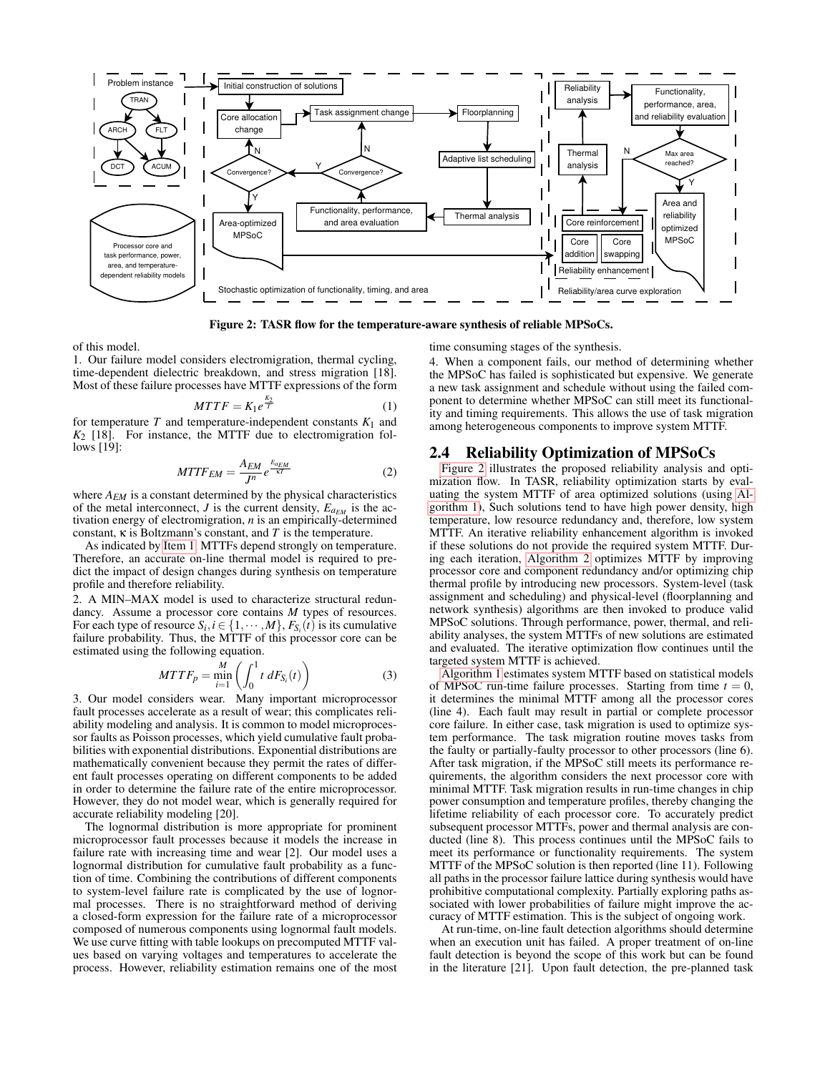

<span id="page-2-0"></span>Figure 2: TASR flow for the temperature-aware synthesis of reliable MPSoCs.

of this model.

1. Our failure model considers electromigration, thermal cycling, time-dependent dielectric breakdown, and stress migration [18]. Most of these failure processes have MTTF expressions of the form

<span id="page-2-1"></span>
$$
MTTF = K_1 e^{\frac{K_2}{T}} \tag{1}
$$

for temperature  $T$  and temperature-independent constants  $K_1$  and *K*<sup>2</sup> [18]. For instance, the MTTF due to electromigration follows [19]:

$$
MTTF_{EM} = \frac{A_{EM}}{J^n} e^{\frac{E_{aEM}}{\kappa T}}
$$
 (2)

where *AEM* is a constant determined by the physical characteristics of the metal interconnect, *J* is the current density,  $E_{a_{EM}}$  is the activation energy of electromigration, *n* is an empirically-determined constant, κ is Boltzmann's constant, and *T* is the temperature.

As indicated by [Item 1,](#page-2-1) MTTFs depend strongly on temperature. Therefore, an accurate on-line thermal model is required to predict the impact of design changes during synthesis on temperature profile and therefore reliability.

2. A MIN–MAX model is used to characterize structural redundancy. Assume a processor core contains *M* types of resources. For each type of resource  $S_i$ ,  $i \in \{1, \dots, M\}$ ,  $F_{S_i}(t)$  is its cumulative failure probability. Thus, the MTTF of this processor core can be estimated using the following equation.

$$
MTF_p = \min_{i=1}^{M} \left( \int_0^1 t \, dF_{S_i}(t) \right) \tag{3}
$$

3. Our model considers wear. Many important microprocessor fault processes accelerate as a result of wear; this complicates reliability modeling and analysis. It is common to model microprocessor faults as Poisson processes, which yield cumulative fault probabilities with exponential distributions. Exponential distributions are mathematically convenient because they permit the rates of different fault processes operating on different components to be added in order to determine the failure rate of the entire microprocessor. However, they do not model wear, which is generally required for accurate reliability modeling [20].

The lognormal distribution is more appropriate for prominent microprocessor fault processes because it models the increase in failure rate with increasing time and wear [2]. Our model uses a lognormal distribution for cumulative fault probability as a function of time. Combining the contributions of different components to system-level failure rate is complicated by the use of lognormal processes. There is no straightforward method of deriving a closed-form expression for the failure rate of a microprocessor composed of numerous components using lognormal fault models. We use curve fitting with table lookups on precomputed MTTF values based on varying voltages and temperatures to accelerate the process. However, reliability estimation remains one of the most time consuming stages of the synthesis.

4. When a component fails, our method of determining whether the MPSoC has failed is sophisticated but expensive. We generate a new task assignment and schedule without using the failed component to determine whether MPSoC can still meet its functionality and timing requirements. This allows the use of task migration among heterogeneous components to improve system MTTF.

# <span id="page-2-2"></span>2.4 Reliability Optimization of MPSoCs

[Figure 2](#page-2-0) illustrates the proposed reliability analysis and optimization flow. In TASR, reliability optimization starts by evaluating the system MTTF of area optimized solutions (using [Al](#page-3-0)[gorithm 1\)](#page-3-0), Such solutions tend to have high power density, high temperature, low resource redundancy and, therefore, low system MTTF. An iterative reliability enhancement algorithm is invoked if these solutions do not provide the required system MTTF. During each iteration, [Algorithm 2](#page-3-1) optimizes MTTF by improving processor core and component redundancy and/or optimizing chip thermal profile by introducing new processors. System-level (task assignment and scheduling) and physical-level (floorplanning and network synthesis) algorithms are then invoked to produce valid MPSoC solutions. Through performance, power, thermal, and reliability analyses, the system MTTFs of new solutions are estimated and evaluated. The iterative optimization flow continues until the targeted system MTTF is achieved.

[Algorithm 1](#page-3-0) estimates system MTTF based on statistical models of MPSoC run-time failure processes. Starting from time  $t = 0$ , it determines the minimal MTTF among all the processor cores (line 4). Each fault may result in partial or complete processor core failure. In either case, task migration is used to optimize system performance. The task migration routine moves tasks from the faulty or partially-faulty processor to other processors (line 6). After task migration, if the MPSoC still meets its performance requirements, the algorithm considers the next processor core with minimal MTTF. Task migration results in run-time changes in chip power consumption and temperature profiles, thereby changing the lifetime reliability of each processor core. To accurately predict subsequent processor MTTFs, power and thermal analysis are conducted (line 8). This process continues until the MPSoC fails to meet its performance or functionality requirements. The system MTTF of the MPSoC solution is then reported (line 11). Following all paths in the processor failure lattice during synthesis would have prohibitive computational complexity. Partially exploring paths associated with lower probabilities of failure might improve the accuracy of MTTF estimation. This is the subject of ongoing work.

At run-time, on-line fault detection algorithms should determine when an execution unit has failed. A proper treatment of on-line fault detection is beyond the scope of this work but can be found in the literature [21]. Upon fault detection, the pre-planned task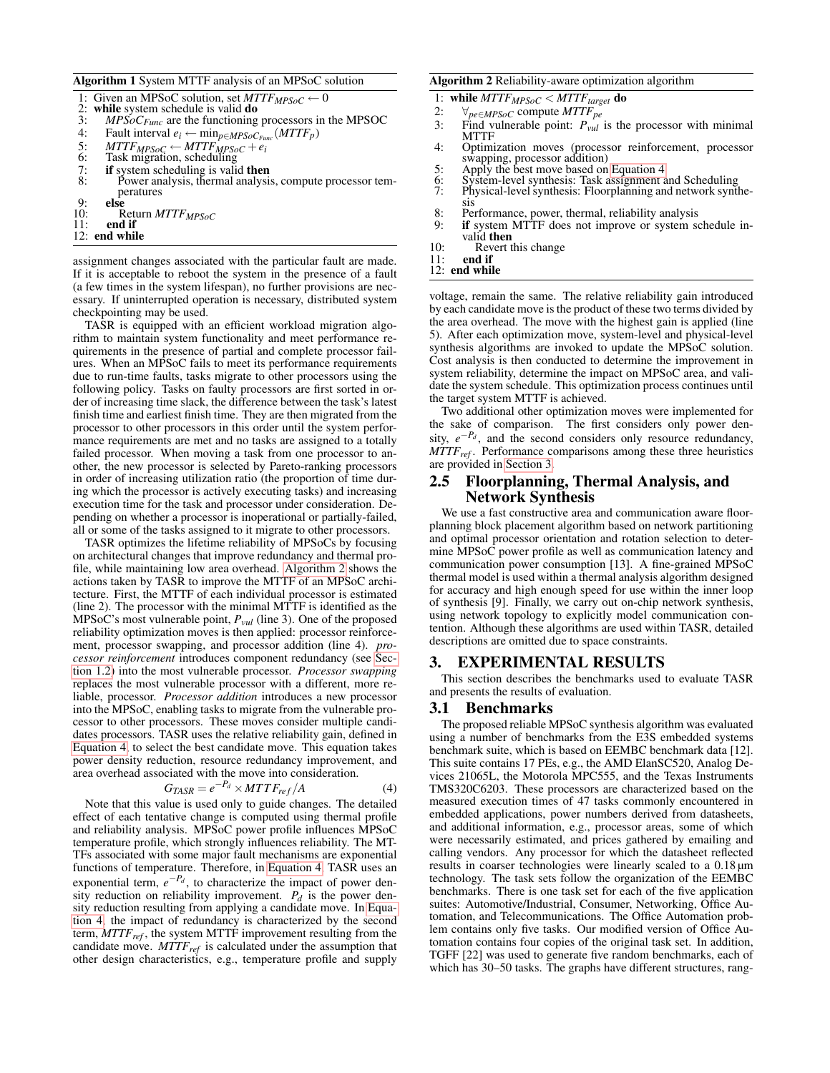#### <span id="page-3-0"></span>Algorithm 1 System MTTF analysis of an MPSoC solution

- 1: Given an MPSoC solution, set  $MTTF_{MPSoC} \leftarrow 0$ <br>2: while system schedule is valid **do**
- 2: while system schedule is valid **do**<br>3:  $MPSoC_{Func}$  are the functioning
- 3: *MPSoC<sub>Func</sub>* are the functioning processors in the MPSOC 4: Fault interval  $e_i \leftarrow \min_{n \in MPSoC_{Error}} (MTTF_n)$
- 4: Fault interval  $e_i \leftarrow \min_{p \in MPSoC_{Func}} (MTTF_p)$ <br>5:  $MTTF_{MPSoC} \leftarrow MTTF_{MPSoC} + e$ :
- 5:  $MTTF_{MPSoC} \leftarrow MTTF_{MPSoC} + e_i$ <br>6: Task migration, scheduling
- 
- 7: **if** system scheduling is valid **then**  $8$ : Power analysis, thermal analysis
- Power analysis, thermal analysis, compute processor temperatures
- 9: **else**<br>10: R
- 10: Return *MTTFMPSoC* end if
- 12: end while
- 

assignment changes associated with the particular fault are made. If it is acceptable to reboot the system in the presence of a fault (a few times in the system lifespan), no further provisions are necessary. If uninterrupted operation is necessary, distributed system checkpointing may be used.

TASR is equipped with an efficient workload migration algorithm to maintain system functionality and meet performance requirements in the presence of partial and complete processor failures. When an MPSoC fails to meet its performance requirements due to run-time faults, tasks migrate to other processors using the following policy. Tasks on faulty processors are first sorted in order of increasing time slack, the difference between the task's latest finish time and earliest finish time. They are then migrated from the processor to other processors in this order until the system performance requirements are met and no tasks are assigned to a totally failed processor. When moving a task from one processor to another, the new processor is selected by Pareto-ranking processors in order of increasing utilization ratio (the proportion of time during which the processor is actively executing tasks) and increasing execution time for the task and processor under consideration. Depending on whether a processor is inoperational or partially-failed, all or some of the tasks assigned to it migrate to other processors.

TASR optimizes the lifetime reliability of MPSoCs by focusing on architectural changes that improve redundancy and thermal profile, while maintaining low area overhead. [Algorithm 2](#page-3-1) shows the actions taken by TASR to improve the MTTF of an MPSoC architecture. First, the MTTF of each individual processor is estimated (line 2). The processor with the minimal MTTF is identified as the MPSoC's most vulnerable point, *Pvul* (line 3). One of the proposed reliability optimization moves is then applied: processor reinforcement, processor swapping, and processor addition (line 4). *processor reinforcement* introduces component redundancy (see [Sec](#page-0-0)[tion 1.2\)](#page-0-0) into the most vulnerable processor. *Processor swapping* replaces the most vulnerable processor with a different, more reliable, processor. *Processor addition* introduces a new processor into the MPSoC, enabling tasks to migrate from the vulnerable processor to other processors. These moves consider multiple candidates processors. TASR uses the relative reliability gain, defined in [Equation 4,](#page-3-2) to select the best candidate move. This equation takes power density reduction, resource redundancy improvement, and area overhead associated with the move into consideration.

<span id="page-3-2"></span>
$$
G_{TASR} = e^{-P_d} \times MTTF_{ref}/A \tag{4}
$$

Note that this value is used only to guide changes. The detailed effect of each tentative change is computed using thermal profile and reliability analysis. MPSoC power profile influences MPSoC temperature profile, which strongly influences reliability. The MT-TFs associated with some major fault mechanisms are exponential functions of temperature. Therefore, in [Equation 4,](#page-3-2) TASR uses an exponential term,  $e^{-P_d}$ , to characterize the impact of power density reduction on reliability improvement.  $P_d$  is the power density reduction resulting from applying a candidate move. In [Equa](#page-3-2)[tion 4,](#page-3-2) the impact of redundancy is characterized by the second term, *MTTFref* , the system MTTF improvement resulting from the candidate move. *MTTFref* is calculated under the assumption that other design characteristics, e.g., temperature profile and supply

#### <span id="page-3-1"></span>Algorithm 2 Reliability-aware optimization algorithm

- 1: while *MTTFMPSoC* < *MTTFtarget* do
- 2:  $\forall_{pe \in MPSoC}$  compute  $MTTF_{pe}$ <br>3: Find vulnerable point:  $P_{vul}$
- Find vulnerable point:  $P_{vul}$  is the processor with minimal MTTF
- 4: Optimization moves (processor reinforcement, processor swapping, processor addition)
- 5: Apply the best move based on [Equation 4](#page-3-2)
- 6: System-level synthesis: Task assignment and Scheduling<br>7: Physical-level synthesis: Floorplanning and network synt
- Physical-level synthesis: Floorplanning and network synthesis
- 8: Performance, power, thermal, reliability analysis<br>9: **if** system MTTF does not improve or system so
- if system MTTF does not improve or system schedule invalid then 10: Revert this change<br>11: end if
- 
- end if
- 12: end while

voltage, remain the same. The relative reliability gain introduced by each candidate move is the product of these two terms divided by the area overhead. The move with the highest gain is applied (line 5). After each optimization move, system-level and physical-level synthesis algorithms are invoked to update the MPSoC solution. Cost analysis is then conducted to determine the improvement in system reliability, determine the impact on MPSoC area, and validate the system schedule. This optimization process continues until the target system MTTF is achieved.

Two additional other optimization moves were implemented for the sake of comparison. The first considers only power density,  $e^{-P_d}$ , and the second considers only resource redundancy, *MTTFref* . Performance comparisons among these three heuristics are provided in [Section 3.](#page-3-3)

# 2.5 Floorplanning, Thermal Analysis, and Network Synthesis

We use a fast constructive area and communication aware floorplanning block placement algorithm based on network partitioning and optimal processor orientation and rotation selection to determine MPSoC power profile as well as communication latency and communication power consumption [13]. A fine-grained MPSoC thermal model is used within a thermal analysis algorithm designed for accuracy and high enough speed for use within the inner loop of synthesis [9]. Finally, we carry out on-chip network synthesis, using network topology to explicitly model communication contention. Although these algorithms are used within TASR, detailed descriptions are omitted due to space constraints.

# <span id="page-3-3"></span>3. EXPERIMENTAL RESULTS

This section describes the benchmarks used to evaluate TASR and presents the results of evaluation.

#### 3.1 Benchmarks

The proposed reliable MPSoC synthesis algorithm was evaluated using a number of benchmarks from the E3S embedded systems benchmark suite, which is based on EEMBC benchmark data [12]. This suite contains 17 PEs, e.g., the AMD ElanSC520, Analog Devices 21065L, the Motorola MPC555, and the Texas Instruments TMS320C6203. These processors are characterized based on the measured execution times of 47 tasks commonly encountered in embedded applications, power numbers derived from datasheets, and additional information, e.g., processor areas, some of which were necessarily estimated, and prices gathered by emailing and calling vendors. Any processor for which the datasheet reflected results in coarser technologies were linearly scaled to a 0.18 µm technology. The task sets follow the organization of the EEMBC benchmarks. There is one task set for each of the five application suites: Automotive/Industrial, Consumer, Networking, Office Automation, and Telecommunications. The Office Automation problem contains only five tasks. Our modified version of Office Automation contains four copies of the original task set. In addition, TGFF [22] was used to generate five random benchmarks, each of which has 30–50 tasks. The graphs have different structures, rang-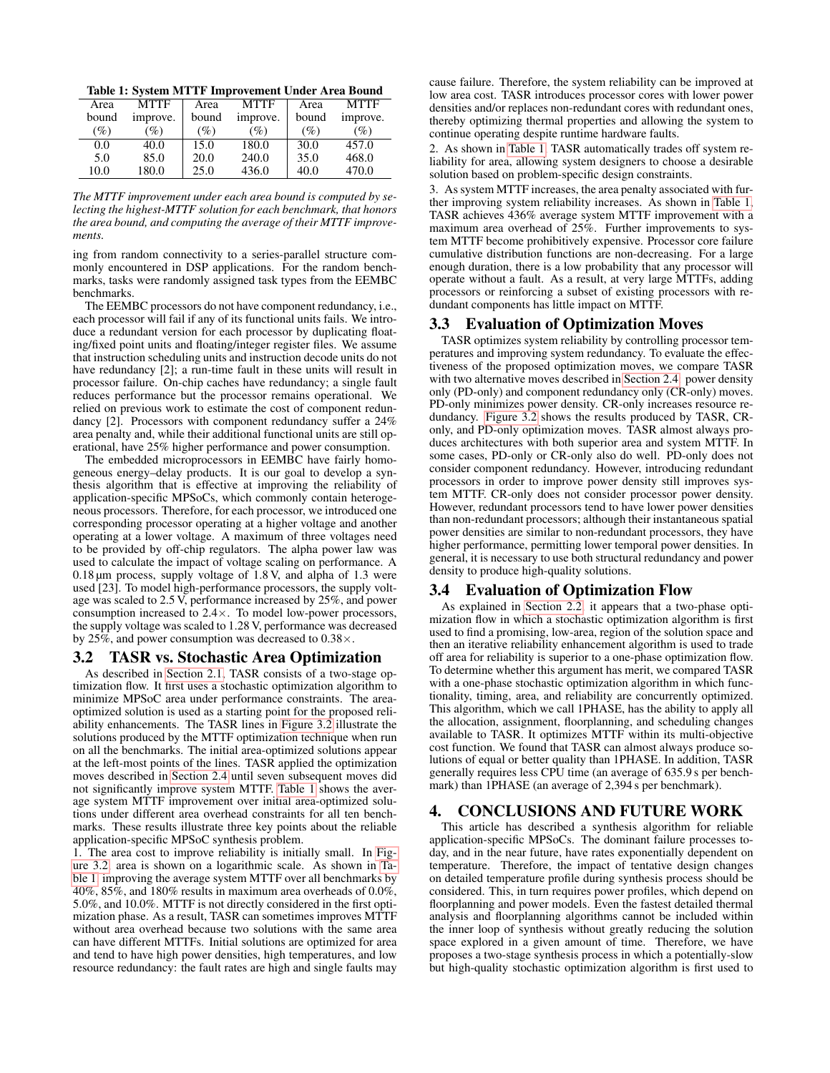<span id="page-4-0"></span>Table 1: System MTTF Improvement Under Area Bound

| Area  | <b>MTTF</b>     | Area   | <b>MTTF</b> | Area  | <b>MTTF</b> |
|-------|-----------------|--------|-------------|-------|-------------|
| bound | improve.        | bound  | improve.    | bound | improve.    |
| (%)   | $\mathscr{D}_o$ | $(\%)$ | (%)         | (%)   | $(\%)$      |
| 0.0   | 40.0            | 15.0   | 180.0       | 30.0  | 457.0       |
| 5.0   | 85.0            | 20.0   | 240.0       | 35.0  | 468.0       |
| 10.0  | 180.0           | 25.0   | 436.0       | 40.0  | 470.0       |
|       |                 |        |             |       |             |

*The MTTF improvement under each area bound is computed by selecting the highest-MTTF solution for each benchmark, that honors the area bound, and computing the average of their MTTF improvements.*

ing from random connectivity to a series-parallel structure commonly encountered in DSP applications. For the random benchmarks, tasks were randomly assigned task types from the EEMBC benchmarks.

The EEMBC processors do not have component redundancy, i.e., each processor will fail if any of its functional units fails. We introduce a redundant version for each processor by duplicating floating/fixed point units and floating/integer register files. We assume that instruction scheduling units and instruction decode units do not have redundancy [2]; a run-time fault in these units will result in processor failure. On-chip caches have redundancy; a single fault reduces performance but the processor remains operational. We relied on previous work to estimate the cost of component redundancy [2]. Processors with component redundancy suffer a 24% area penalty and, while their additional functional units are still operational, have 25% higher performance and power consumption.

The embedded microprocessors in EEMBC have fairly homogeneous energy–delay products. It is our goal to develop a synthesis algorithm that is effective at improving the reliability of application-specific MPSoCs, which commonly contain heterogeneous processors. Therefore, for each processor, we introduced one corresponding processor operating at a higher voltage and another operating at a lower voltage. A maximum of three voltages need to be provided by off-chip regulators. The alpha power law was used to calculate the impact of voltage scaling on performance. A 0.18 µm process, supply voltage of 1.8 V, and alpha of 1.3 were used [23]. To model high-performance processors, the supply voltage was scaled to 2.5 V, performance increased by 25%, and power consumption increased to 2.4×. To model low-power processors, the supply voltage was scaled to 1.28 V, performance was decreased by 25%, and power consumption was decreased to 0.38×.

# 3.2 TASR vs. Stochastic Area Optimization

As described in [Section 2.1,](#page-1-1) TASR consists of a two-stage optimization flow. It first uses a stochastic optimization algorithm to minimize MPSoC area under performance constraints. The areaoptimized solution is used as a starting point for the proposed reliability enhancements. The TASR lines in [Figure 3.2](#page-5-0) illustrate the solutions produced by the MTTF optimization technique when run on all the benchmarks. The initial area-optimized solutions appear at the left-most points of the lines. TASR applied the optimization moves described in [Section 2.4](#page-2-2) until seven subsequent moves did not significantly improve system MTTF. [Table 1](#page-4-0) shows the average system MTTF improvement over initial area-optimized solutions under different area overhead constraints for all ten benchmarks. These results illustrate three key points about the reliable application-specific MPSoC synthesis problem.

1. The area cost to improve reliability is initially small. In [Fig](#page-5-0)[ure 3.2,](#page-5-0) area is shown on a logarithmic scale. As shown in [Ta](#page-4-0)[ble 1,](#page-4-0) improving the average system MTTF over all benchmarks by 40%, 85%, and 180% results in maximum area overheads of 0.0%, 5.0%, and 10.0%. MTTF is not directly considered in the first optimization phase. As a result, TASR can sometimes improves MTTF without area overhead because two solutions with the same area can have different MTTFs. Initial solutions are optimized for area and tend to have high power densities, high temperatures, and low resource redundancy: the fault rates are high and single faults may

cause failure. Therefore, the system reliability can be improved at low area cost. TASR introduces processor cores with lower power densities and/or replaces non-redundant cores with redundant ones, thereby optimizing thermal properties and allowing the system to continue operating despite runtime hardware faults.

2. As shown in [Table 1,](#page-4-0) TASR automatically trades off system reliability for area, allowing system designers to choose a desirable solution based on problem-specific design constraints.

3. As system MTTF increases, the area penalty associated with further improving system reliability increases. As shown in [Table 1,](#page-4-0) TASR achieves 436% average system MTTF improvement with a maximum area overhead of 25%. Further improvements to system MTTF become prohibitively expensive. Processor core failure cumulative distribution functions are non-decreasing. For a large enough duration, there is a low probability that any processor will operate without a fault. As a result, at very large MTTFs, adding processors or reinforcing a subset of existing processors with redundant components has little impact on MTTF.

# 3.3 Evaluation of Optimization Moves

TASR optimizes system reliability by controlling processor temperatures and improving system redundancy. To evaluate the effectiveness of the proposed optimization moves, we compare TASR with two alternative moves described in [Section 2.4:](#page-2-2) power density only (PD-only) and component redundancy only (CR-only) moves. PD-only minimizes power density. CR-only increases resource redundancy. [Figure 3.2](#page-5-0) shows the results produced by TASR, CRonly, and PD-only optimization moves. TASR almost always produces architectures with both superior area and system MTTF. In some cases, PD-only or CR-only also do well. PD-only does not consider component redundancy. However, introducing redundant processors in order to improve power density still improves system MTTF. CR-only does not consider processor power density. However, redundant processors tend to have lower power densities than non-redundant processors; although their instantaneous spatial power densities are similar to non-redundant processors, they have higher performance, permitting lower temporal power densities. In general, it is necessary to use both structural redundancy and power density to produce high-quality solutions.

# 3.4 Evaluation of Optimization Flow

As explained in [Section 2.2,](#page-1-2) it appears that a two-phase optimization flow in which a stochastic optimization algorithm is first used to find a promising, low-area, region of the solution space and then an iterative reliability enhancement algorithm is used to trade off area for reliability is superior to a one-phase optimization flow. To determine whether this argument has merit, we compared TASR with a one-phase stochastic optimization algorithm in which functionality, timing, area, and reliability are concurrently optimized. This algorithm, which we call 1PHASE, has the ability to apply all the allocation, assignment, floorplanning, and scheduling changes available to TASR. It optimizes MTTF within its multi-objective cost function. We found that TASR can almost always produce solutions of equal or better quality than 1PHASE. In addition, TASR generally requires less CPU time (an average of 635.9 s per benchmark) than 1PHASE (an average of 2,394 s per benchmark).

# 4. CONCLUSIONS AND FUTURE WORK

This article has described a synthesis algorithm for reliable application-specific MPSoCs. The dominant failure processes today, and in the near future, have rates exponentially dependent on temperature. Therefore, the impact of tentative design changes on detailed temperature profile during synthesis process should be considered. This, in turn requires power profiles, which depend on floorplanning and power models. Even the fastest detailed thermal analysis and floorplanning algorithms cannot be included within the inner loop of synthesis without greatly reducing the solution space explored in a given amount of time. Therefore, we have proposes a two-stage synthesis process in which a potentially-slow but high-quality stochastic optimization algorithm is first used to